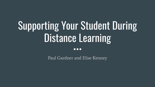# Supporting Your Student During Distance Learning

 $\bullet \bullet \bullet$ 

Paul Gardner and Elise Kenney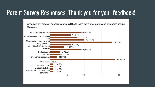## Parent Survey Responses: Thank you for your feedback!

Check off any areas of concern you would like to learn more information and strategies around: 24 responses

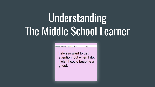# Understanding The Middle School Learner

MIDDLE SCHOOL QUOTES

I always want to get attention, but when I do, I wish I could become a ghost.

#3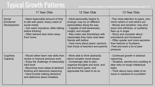## Typical Growth Patterns Center for Responsive Schools Inc: Yardstick: Child and Adolescent Development Ages 4-14

|                                    | 11 Year Olds                                                                                                                                                                                                                                                            | 12 Year Olds                                                                                                                                                                                                                                                                                                               | 13 Year Olds                                                                                                                                                                                                                                                                                                                              |
|------------------------------------|-------------------------------------------------------------------------------------------------------------------------------------------------------------------------------------------------------------------------------------------------------------------------|----------------------------------------------------------------------------------------------------------------------------------------------------------------------------------------------------------------------------------------------------------------------------------------------------------------------------|-------------------------------------------------------------------------------------------------------------------------------------------------------------------------------------------------------------------------------------------------------------------------------------------------------------------------------------------|
| Social<br>Emotional<br>Development | - Need reasonable amount of time<br>to talk with peers; heavy users of<br>social media<br>- Can seem impulsive; often talking<br>before thinking<br>- Often behave best when away<br>from home                                                                          | - Adult personality begins to<br>emerge; may try on different<br>personalities along the way<br>- Capable of self-awareness,<br>insight, and empath<br>- May make new friendships with<br>classmates they have note been<br>friends with before<br>- Care more about peers' opinions<br>than those of teachers and parents | - Pay close attention to peers, who<br>mirror what's in and what's out<br>- Moody and sensitive; may shut<br>down and withdraw, or suddenly<br>flare up in anger<br>- Worry and complain about<br>schoolwork and homework<br>- Often quieter and more secretive<br>than twelves or fourteens<br>-Feel and exert a lot of peer<br>pressure |
| Cognitive<br>Capacity              | - Would rather learn new skills than<br>review or improve previous work<br>- Enjoy the challenge of reasonably<br>hard work<br>- Becoming more adept at abstract<br>thinking and deductive reasoning<br>- Have trouble making decisions<br>and defensive about mistakes | - More able to think abstractly<br>about complex moral issues.<br>- Increasingly able to plan,<br>organize thoughts and work, and<br>set short-term goals, and<br>appreciate the need to do so                                                                                                                             | - Continued growth in abstract<br>reasoning<br>- Tentative, worried and unwilling to<br>take risks on tough intellectual<br>tasks<br>- Think about many sides of an<br>issue or solutions to a problem                                                                                                                                    |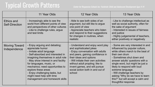### Typical Growth Patterns *Center for Responsive Schools Inc: Yardstick: Child and Adolescent Development Ages 4-14*

|                                     | 11 Year Olds                                                                                                                                                                                                                                                                                                                                                                            | 12 Year Olds                                                                                                                                                                                                                                                                                                             | 13 Year Olds                                                                                                                                                                                                                                                                                                                                                                                                      |
|-------------------------------------|-----------------------------------------------------------------------------------------------------------------------------------------------------------------------------------------------------------------------------------------------------------------------------------------------------------------------------------------------------------------------------------------|--------------------------------------------------------------------------------------------------------------------------------------------------------------------------------------------------------------------------------------------------------------------------------------------------------------------------|-------------------------------------------------------------------------------------------------------------------------------------------------------------------------------------------------------------------------------------------------------------------------------------------------------------------------------------------------------------------------------------------------------------------|
| Ethics and<br><b>Self-Direction</b> | - Increasingly able to see the<br>world from different points of view<br>and perspectives of other cultures<br>- Like to challenge rules, argue<br>and test limits                                                                                                                                                                                                                      | - Able to see both sides of an<br>argument, but still like to argue<br>one point of view<br>- Appreciate teachers who listen<br>and respond to their suggestions<br>for changes in routines, when<br>realistic                                                                                                           | - Like to challenge intellectual as<br>well as social authority, often for<br>the sake of argument<br>- Interested in issues of fairness<br>and justice<br>- Highly judgemental of teachers,<br>either positively or negatively                                                                                                                                                                                   |
| Moving Toward<br>Independence       | - Enjoy arguing and debating;<br>appreciate humor<br>- Imitate adult language<br>- Self-absorbed and interested in<br>imagining themselves in adult role<br>- May show interest in and facility<br>for languages, music, or<br>mechanics; need opportunities to<br>explore these areas<br>- Enjoy challenging tasks, but<br>might need help with time<br>management and homework skills | - Understand and enjoy word play<br>and sophisticated jokes<br>- Enjoy conversation with adults<br>and peers, gaining confidence in<br>their ideas and options<br>- Will initiate their own activities<br>without adult propting; like to<br>invent games, and will pursue<br>social action both in and out of<br>school | - Some are very interested in and<br>influenced by popular culture,<br>while others march to the beat of<br>their own drum<br>- Sometimes shut down and<br>answer adults' questions with a<br>single word, but might be just a<br>likely to respond with loud<br>extreme language.<br>- Will challenge teachers by<br>asking "Why do we have to learn<br>this?" but will accept a calm and<br>thoughtful response |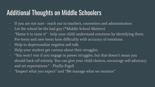### Additional Thoughts on Middle Schoolers

- If you are not sure reach out to teachers, counselors and administrators
- Let the school be the bad guy (\*Middle School Matters)
- "Name it to tame it" help your child understand emotions by identifying them. Pre-teens and new teens have difficultly with accuracy of emotions.
- Help to depersonalize negative self-talk.
- Help your student get curious about their struggles.
- "You won't win if you engage in power struggles, but that doesn't mean you should back off entirely. You can give your child choices, encourage self-advocacy, and set expectations." - Phyllis Fagell
- "Inspect what you expect" and "We manage what we monitor"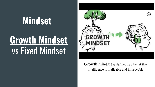# **Mindset**

# **Growth Mindset** vs Fixed Mindset



Growth mindset is defined as a belief that intelligence is malleable and improvable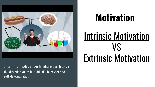

Intrinsic motivation is inherent, as it drives the direction of an individual's behavior and self-determination

# **Motivation**

# Intrinsic Motivation VS Extrinsic Motivation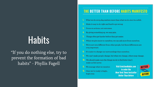# **Habits**

"If you do nothing else, try to prevent the formation of bad habits" - Phyllis Fagell

#### **THE BETTER THAN BEFORE HABITS MANIFESTO**

- What we do every day matters more than what we do once in a while.
- Make it easy to do right and hard to go wrong.
- Focus on actions, not outcomes.
- By giving something up, we may gain.
- Things often get harder before they get easier.
- When we give more to ourselves, we can ask more from ourselves.
- We're not very different from other people, but those differences are very important.
- $\mathbf{\hat{b}}$ . It's easier to change our surroundings than ourselves.
- We can't make people change, but when we change, others may change.
- We should make sure the things we do to feel better don't make us feel worse.
- We manage what we monitor.
- 12. Once we're ready to begin, begin now.

**Visit GretchenRubin.com** to order the **New York Times bestseller Better Than Before** 

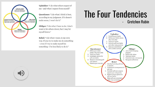

Upholder: "I do what others expect of me-and what I expect from myself."

**Questioner:** "I do what I think is best, according to my judgment. If it doesn't make sense. I won't do it."

Obliger: "I do what I have to do. I don't want to let others down, but I may let myself down."

Rebel: "I do what I want, in my own way. If you try to make me do something -even if I try to make myself do something-I'm less likely to do it."



### The Four Tendencies - Gretchen Rubin

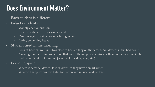## Does Environment Matter?

- Each student is different
- Fidgety students:
	- Wobbly chair or cushion
	- Listen standing up or walking around
	- Caution against laying down or laying in bed
	- Lifting something heavy
- Student tired in the morning
	- Look at bedtime routine: How close to bed are they on the screen? Are devices in the bedroom?
	- Morning routine: doing something that wakes them up or energizes or them in the morning (splash of cold water, 5 mins of jumping jacks, walk the dog, yoga, etc.)
- Learning space:
	- Where is personal device? Is it in view? Do they have a smart watch?
	- What will support positive habit formation and reduce roadblocks?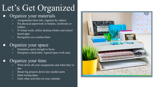# Let's Get Organized

#### Organize your materials

- Assignments/class info. organize by subject
- Put physical paperwork in binders, notebooks or folders.
- If virtual work, utilize desktop folders and school based apps.
- Reorganize on a routine basis

#### Organize your space

- Someplace quiet enough to focus
- Designate a desk/table. Agreed upon work area.

#### Organize your time

- Write down all your assignments and when they're due
- Break big projects down into smaller parts
- Mark testing dates
- Enter other activities on your calendar

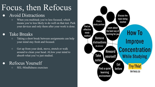## Focus, then Refocus

#### **Avoid Distractions**

○ When you multitask you're less focused, which means you're less likely to do well on that test. Park your devices and only them after your work is done.

#### **Take Breaks**

- Taking a short break between assignments can help your mind stay fresh and focused.
- Get up from your desk, move, stretch or walk around to clean your head. ALlow your mind to absorb what you've just studied.

#### Refocus Yourself

○ SEL-Mindfulness exercises

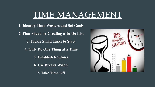## TIME MANAGEMENT

**1. Identify Time-Wasters and Set Goals 2. Plan Ahead by Creating a To-Do List 3. Tackle Small Tasks to Start 4. Only Do One Thing at a Time 5. Establish Routines 6. Use Breaks Wisely 7. Take Time Off**

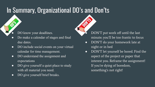## In Summary, Organizational DO's and Don'ts

- DO know your deadlines.
- Do make a calendar of stages and final due dates.
- DO include social events on your virtual calendar for time management.
- DO understand the assignment and expectations
- DO give yourself a quiet place to study with all material you need.
- DO give yourself brief breaks.
- DON'T put work off until the last minute; you'll be too frantic to focus
- DON'T do your homework late at night or in bed
- DON'T let yourself be bored. Find the aspect of the project or paper that interest you. Reframe the assignment! If you're dying of boredom, something's not right!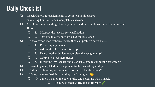## Daily Checklist

- ❏ Check Canvas for assignments to complete in all classes (including homework or incomplete classwork)
- ❏ Check for understanding Do they understand the directions for each assignment? If not……
	- ❏ 1. Message the teacher for clarification
	- ❏ 2. Text or call a friend from class for assistance
- ❏ If they experience technical issues they can problem solve by….
	- ❏ 1. Restarting my device
	- ❏ 2. Asking the closet adult for help
	- $\Box$  3. Using another device to complete the assignment(s)
	- ❏ 4. Complete a tech help ticket
	- ❏ 5. Informing my teacher and establish a date to submit the assignment
- ❏ Have they completed the assignment to the best of my ability?
- ❏ Did they submit my assignment according to the directions?
- $\Box$  If they have reached this step they are doing great  $\bigcirc$ 
	- ❏ Give them a pat on the back/praise and celebrate with a snack!
		- ❏ **Be sure to start at the top tomorrow** ✔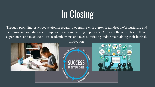# **In Closing**

Through providing psychoeducation in regard to operating with a growth mindset we're nurturing and empowering our students to improve their own learning experience. Allowing them to reframe their experiences and meet their own academic wants and needs, initiating and/or maintaining their intrinsic motivation.

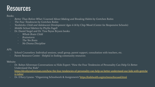### **Resources**

#### Books:

- Better Than Before-What I Learned About Making and Breaking Habits by Gretchen Rubin
- The Four Tendencies by Gretchen Rubin
- Yardsticks: Child and Adolescent Development Ages 4-14 by Chip Wood (Center for Responsive Schools)
- Middle School Matters by Phyllis Fagell
- Dr. Daniel Siegel and Dr. Tina Payne Bryson books:
	- Whole Brain Child
	- Brainstorm
	- The Yes Brain
	- No Drama Discipline

#### APS:

- School Counselors: Individual sessions, small group, parent support, consultation with teachers, etc.
- Parent Resource Center Helpful in finding community resources

#### Website:

- Dr. Robyn Silverman-Conversations w/ Kids Expert: "How the Four Tendencies of Personality Can Help Us Better Understand Our Kids"
	- [https://drrobynsilverman.com/how-the-four-tendencies-of-personality-can-help-us-better-understand-our-kids-with-gretche](https://drrobynsilverman.com/how-the-four-tendencies-of-personality-can-help-us-better-understand-our-kids-with-gretchen-rubin/) [n-rubin/](https://drrobynsilverman.com/how-the-four-tendencies-of-personality-can-help-us-better-understand-our-kids-with-gretchen-rubin/)
- Dr. D'Arcy Lyness- "Organizing Schoolwork & Assignments"<https://kidshealth.org/en/teens/focused.html>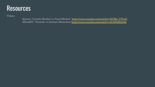### **Resources**

Vidoes:

- Sprouts: "Growth Mindset vs. Fixed Mindset" [https://www.youtube.com/watch?v=KUWn\\_TJTrnU](https://www.youtube.com/watch?v=KUWn_TJTrnU)
- ASCatRIT: "Extrinsic vs Intrinsic Motivation["https://www.youtube.com/watch?v=kUNE4RtZnbk](https://www.youtube.com/watch?v=kUNE4RtZnbk)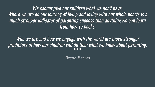We cannot give our children what we don't have. Where we are on our journey of living and loving with our whole hearts is a much stronger indicator of parenting success than anything we can learn from how-to books.

Who we are and how we engage with the world are much stronger predictors of how our children will do than what we know about parenting.

Brene Brown